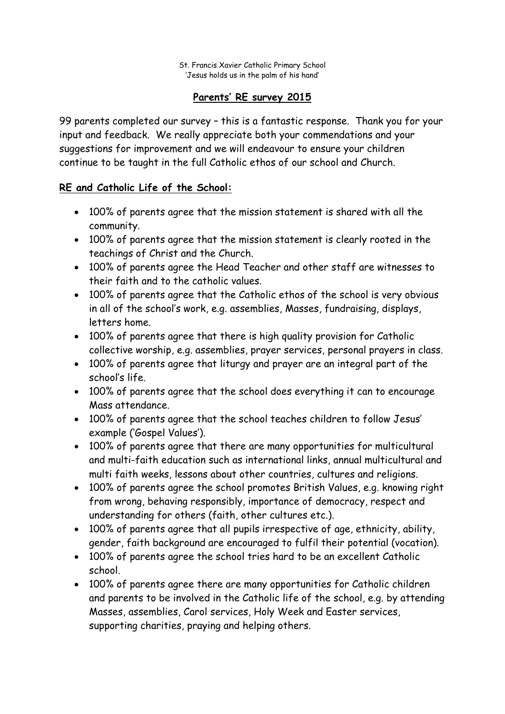# **Parents' RE survey 2015**

99 parents completed our survey – this is a fantastic response. Thank you for your input and feedback. We really appreciate both your commendations and your suggestions for improvement and we will endeavour to ensure your children continue to be taught in the full Catholic ethos of our school and Church.

# **RE and Catholic Life of the School:**

- 100% of parents agree that the mission statement is shared with all the community.
- 100% of parents agree that the mission statement is clearly rooted in the teachings of Christ and the Church.
- 100% of parents agree the Head Teacher and other staff are witnesses to their faith and to the catholic values.
- 100% of parents agree that the Catholic ethos of the school is very obvious in all of the school's work, e.g. assemblies, Masses, fundraising, displays, letters home.
- 100% of parents agree that there is high quality provision for Catholic collective worship, e.g. assemblies, prayer services, personal prayers in class.
- 100% of parents agree that liturgy and prayer are an integral part of the school's life.
- 100% of parents agree that the school does everything it can to encourage Mass attendance.
- 100% of parents agree that the school teaches children to follow Jesus' example ('Gospel Values').
- 100% of parents agree that there are many opportunities for multicultural and multi-faith education such as international links, annual multicultural and multi faith weeks, lessons about other countries, cultures and religions.
- 100% of parents agree the school promotes British Values, e.g. knowing right from wrong, behaving responsibly, importance of democracy, respect and understanding for others (faith, other cultures etc.).
- 100% of parents agree that all pupils irrespective of age, ethnicity, ability, gender, faith background are encouraged to fulfil their potential (vocation).
- 100% of parents agree the school tries hard to be an excellent Catholic school.
- 100% of parents agree there are many opportunities for Catholic children and parents to be involved in the Catholic life of the school, e.g. by attending Masses, assemblies, Carol services, Holy Week and Easter services, supporting charities, praying and helping others.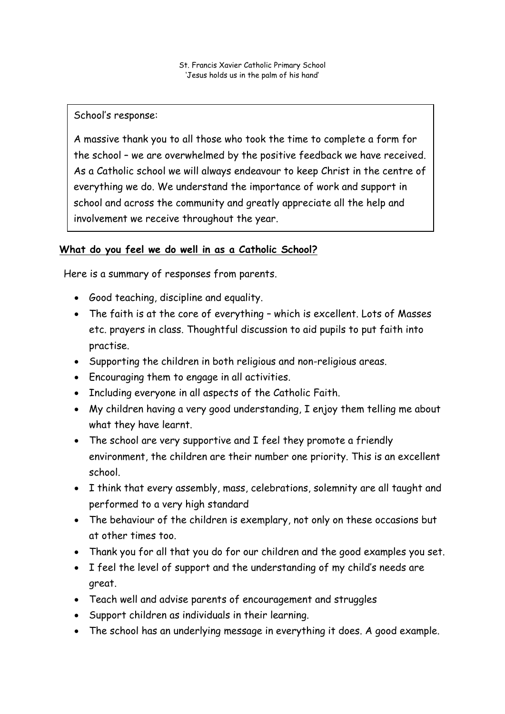School's response:

A massive thank you to all those who took the time to complete a form for the school – we are overwhelmed by the positive feedback we have received. As a Catholic school we will always endeavour to keep Christ in the centre of everything we do. We understand the importance of work and support in school and across the community and greatly appreciate all the help and involvement we receive throughout the year.

### **What do you feel we do well in as a Catholic School?**

Here is a summary of responses from parents.

- Good teaching, discipline and equality.
- The faith is at the core of everything which is excellent. Lots of Masses etc. prayers in class. Thoughtful discussion to aid pupils to put faith into practise.
- Supporting the children in both religious and non-religious areas.
- Encouraging them to engage in all activities.
- Including everyone in all aspects of the Catholic Faith.
- My children having a very good understanding, I enjoy them telling me about what they have learnt.
- The school are very supportive and I feel they promote a friendly environment, the children are their number one priority. This is an excellent school.
- I think that every assembly, mass, celebrations, solemnity are all taught and performed to a very high standard
- The behaviour of the children is exemplary, not only on these occasions but at other times too.
- Thank you for all that you do for our children and the good examples you set.
- I feel the level of support and the understanding of my child's needs are great.
- Teach well and advise parents of encouragement and struggles
- Support children as individuals in their learning.
- The school has an underlying message in everything it does. A good example.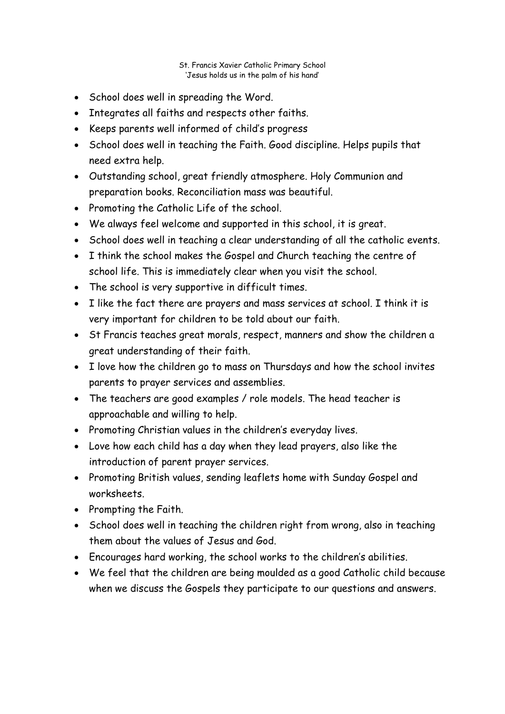- School does well in spreading the Word.
- Integrates all faiths and respects other faiths.
- Keeps parents well informed of child's progress
- School does well in teaching the Faith. Good discipline. Helps pupils that need extra help.
- Outstanding school, great friendly atmosphere. Holy Communion and preparation books. Reconciliation mass was beautiful.
- Promoting the Catholic Life of the school.
- We always feel welcome and supported in this school, it is great.
- School does well in teaching a clear understanding of all the catholic events.
- I think the school makes the Gospel and Church teaching the centre of school life. This is immediately clear when you visit the school.
- The school is very supportive in difficult times.
- I like the fact there are prayers and mass services at school. I think it is very important for children to be told about our faith.
- St Francis teaches great morals, respect, manners and show the children a great understanding of their faith.
- I love how the children go to mass on Thursdays and how the school invites parents to prayer services and assemblies.
- The teachers are good examples / role models. The head teacher is approachable and willing to help.
- Promoting Christian values in the children's everyday lives.
- Love how each child has a day when they lead prayers, also like the introduction of parent prayer services.
- Promoting British values, sending leaflets home with Sunday Gospel and worksheets.
- Prompting the Faith.
- School does well in teaching the children right from wrong, also in teaching them about the values of Jesus and God.
- Encourages hard working, the school works to the children's abilities.
- We feel that the children are being moulded as a good Catholic child because when we discuss the Gospels they participate to our questions and answers.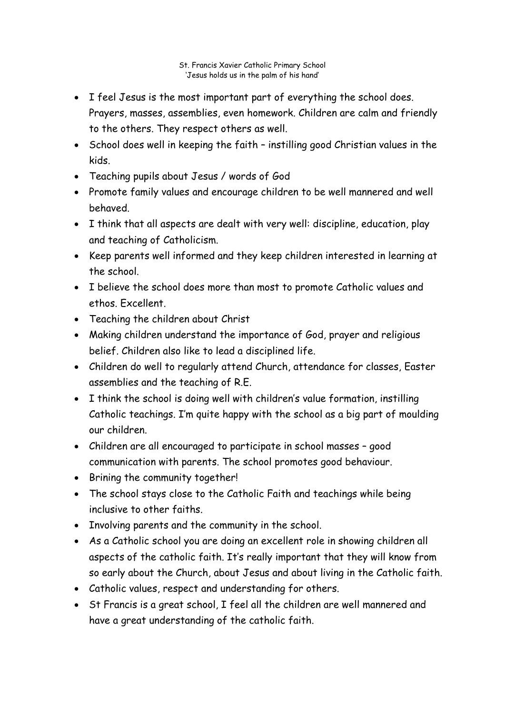- I feel Jesus is the most important part of everything the school does. Prayers, masses, assemblies, even homework. Children are calm and friendly to the others. They respect others as well.
- School does well in keeping the faith instilling good Christian values in the kids.
- Teaching pupils about Jesus / words of God
- Promote family values and encourage children to be well mannered and well behaved.
- I think that all aspects are dealt with very well: discipline, education, play and teaching of Catholicism.
- Keep parents well informed and they keep children interested in learning at the school.
- I believe the school does more than most to promote Catholic values and ethos. Excellent.
- Teaching the children about Christ
- Making children understand the importance of God, prayer and religious belief. Children also like to lead a disciplined life.
- Children do well to regularly attend Church, attendance for classes, Easter assemblies and the teaching of R.E.
- I think the school is doing well with children's value formation, instilling Catholic teachings. I'm quite happy with the school as a big part of moulding our children.
- Children are all encouraged to participate in school masses good communication with parents. The school promotes good behaviour.
- Brining the community together!
- The school stays close to the Catholic Faith and teachings while being inclusive to other faiths.
- Involving parents and the community in the school.
- As a Catholic school you are doing an excellent role in showing children all aspects of the catholic faith. It's really important that they will know from so early about the Church, about Jesus and about living in the Catholic faith.
- Catholic values, respect and understanding for others.
- St Francis is a great school, I feel all the children are well mannered and have a great understanding of the catholic faith.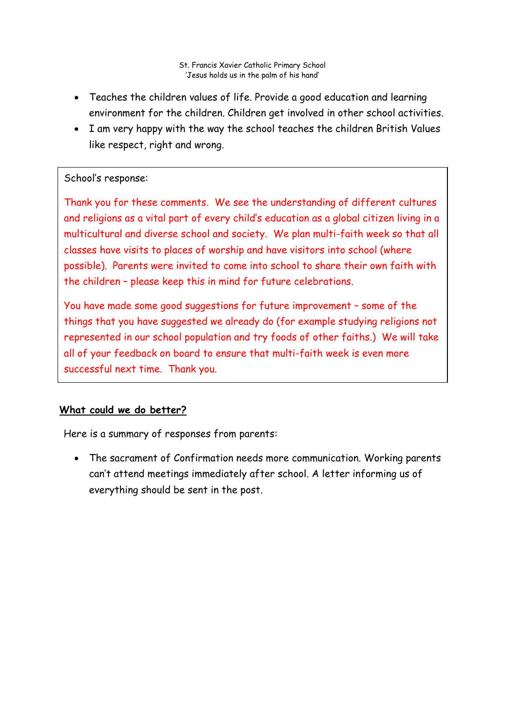- Teaches the children values of life. Provide a good education and learning environment for the children. Children get involved in other school activities.
- I am very happy with the way the school teaches the children British Values like respect, right and wrong.

# School's response:

Thank you for these comments. We see the understanding of different cultures and religions as a vital part of every child's education as a global citizen living in a multicultural and diverse school and society. We plan multi-faith week so that all classes have visits to places of worship and have visitors into school (where possible). Parents were invited to come into school to share their own faith with the children – please keep this in mind for future celebrations.

**Parent Workshops:** Here is a summary of responses from parents. You have made some good suggestions for future improvement – some of the things that you have suggested we already do (for example studying religions not represented in our school population and try foods of other faiths.) We will take all of your feedback on board to ensure that multi-faith week is even more successful next time. Thank you.

# **What could we do better?**

Here is a summary of responses from parents:

• The sacrament of Confirmation needs more communication. Working parents can't attend meetings immediately after school. A letter informing us of everything should be sent in the post.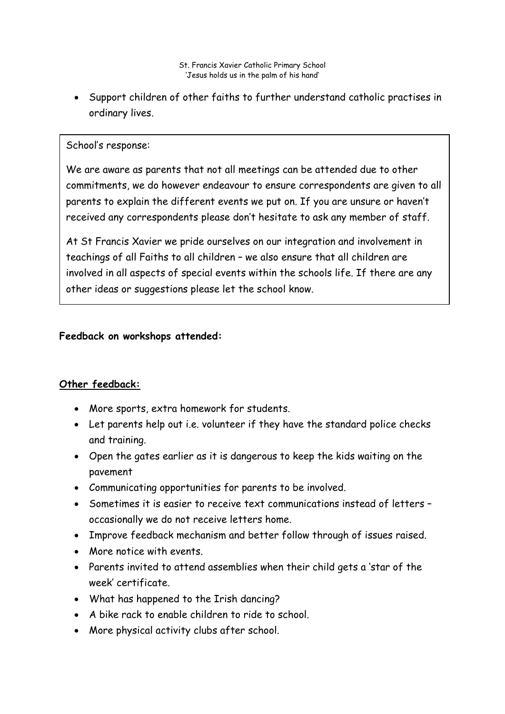• Support children of other faiths to further understand catholic practises in ordinary lives.

#### School's response:

We are aware as parents that not all meetings can be attended due to other commitments, we do however endeavour to ensure correspondents are given to all parents to explain the different events we put on. If you are unsure or haven't received any correspondents please don't hesitate to ask any member of staff.

At St Francis Xavier we pride ourselves on our integration and involvement in teachings of all Faiths to all children – we also ensure that all children are involved in all aspects of special events within the schools life. If there are any other ideas or suggestions please let the school know.

#### **Feedback on workshops attended:**

### **Other feedback:**

- More sports, extra homework for students.
- Let parents help out i.e. volunteer if they have the standard police checks and training.
- Open the gates earlier as it is dangerous to keep the kids waiting on the pavement
- Communicating opportunities for parents to be involved.
- Sometimes it is easier to receive text communications instead of letters occasionally we do not receive letters home.
- Improve feedback mechanism and better follow through of issues raised.
- More notice with events.
- Parents invited to attend assemblies when their child gets a 'star of the week' certificate.
- What has happened to the Irish dancing?
- A bike rack to enable children to ride to school.
- More physical activity clubs after school.